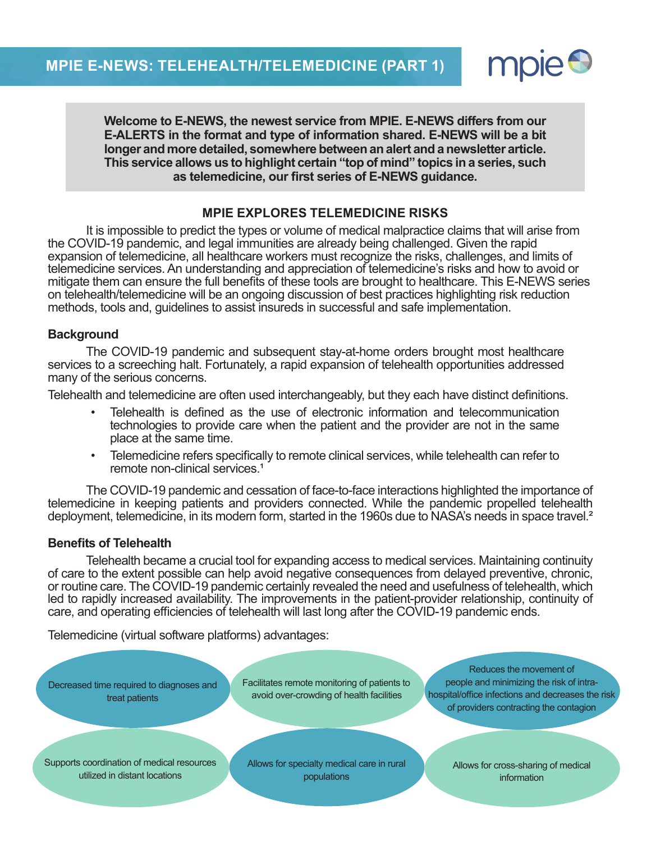

information

**Welcome to E-NEWS, the newest service from MPIE. E-NEWS differs from our E-ALERTS in the format and type of information shared. E-NEWS will be a bit longer and more detailed, somewhere between an alert and a newsletter article. This service allows us to highlight certain "top of mind" topics in a series, such as telemedicine, our first series of E-NEWS guidance.**

# **MPIE EXPLORES TELEMEDICINE RISKS**

It is impossible to predict the types or volume of medical malpractice claims that will arise from the COVID-19 pandemic, and legal immunities are already being challenged. Given the rapid expansion of telemedicine, all healthcare workers must recognize the risks, challenges, and limits of telemedicine services. An understanding and appreciation of telemedicine's risks and how to avoid or mitigate them can ensure the full benefits of these tools are brought to healthcare. This E-NEWS series on telehealth/telemedicine will be an ongoing discussion of best practices highlighting risk reduction methods, tools and, guidelines to assist insureds in successful and safe implementation.

## **Background**

The COVID-19 pandemic and subsequent stay-at-home orders brought most healthcare services to a screeching halt. Fortunately, a rapid expansion of telehealth opportunities addressed many of the serious concerns.

Telehealth and telemedicine are often used interchangeably, but they each have distinct definitions.

- Telehealth is defined as the use of electronic information and telecommunication technologies to provide care when the patient and the provider are not in the same place at the same time.
- Telemedicine refers specifically to remote clinical services, while telehealth can refer to remote non-clinical services.<sup>1</sup>

The COVID-19 pandemic and cessation of face-to-face interactions highlighted the importance of telemedicine in keeping patients and providers connected. While the pandemic propelled telehealth deployment, telemedicine, in its modern form, started in the 1960s due to NASA's needs in space travel.<sup>2</sup>

## **Benefits of Telehealth**

utilized in distant locations

Telehealth became a crucial tool for expanding access to medical services. Maintaining continuity of care to the extent possible can help avoid negative consequences from delayed preventive, chronic, or routine care. The COVID-19 pandemic certainly revealed the need and usefulness of telehealth, which led to rapidly increased availability. The improvements in the patient-provider relationship, continuity of care, and operating efficiencies of telehealth will last long after the COVID-19 pandemic ends.

Telemedicine (virtual software platforms) advantages:

Decreased time required to diagnoses and treat patients Facilitates remote monitoring of patients to avoid over-crowding of health facilities Reduces the movement of people and minimizing the risk of intrahospital/office infections and decreases the risk of providers contracting the contagion Supports coordination of medical resources Allows for specialty medical care in rural Allows for cross-sharing of medical

populations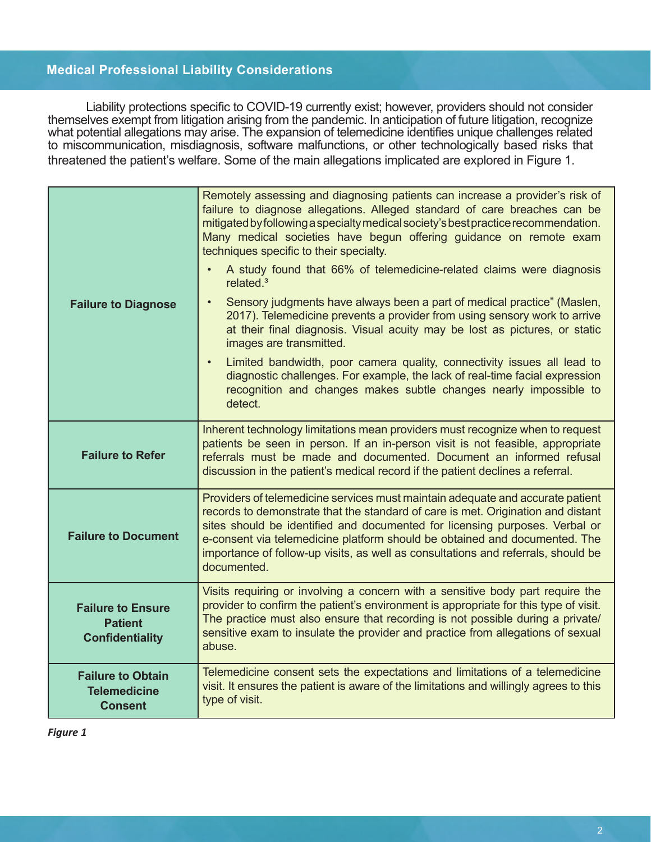# **Medical Professional Liability Considerations**

Liability protections specific to COVID-19 currently exist; however, providers should not consider themselves exempt from litigation arising from the pandemic. In anticipation of future litigation, recognize what potential allegations may arise. The expansion of telemedicine identifies unique challenges related to miscommunication, misdiagnosis, software malfunctions, or other technologically based risks that threatened the patient's welfare. Some of the main allegations implicated are explored in Figure 1.

| <b>Failure to Diagnose</b>                                           | Remotely assessing and diagnosing patients can increase a provider's risk of<br>failure to diagnose allegations. Alleged standard of care breaches can be<br>mitigated by following a specialty medical society's best practice recommendation.<br>Many medical societies have begun offering guidance on remote exam<br>techniques specific to their specialty.<br>A study found that 66% of telemedicine-related claims were diagnosis<br>related. <sup>3</sup><br>Sensory judgments have always been a part of medical practice" (Maslen,<br>$\bullet$<br>2017). Telemedicine prevents a provider from using sensory work to arrive<br>at their final diagnosis. Visual acuity may be lost as pictures, or static<br>images are transmitted.<br>Limited bandwidth, poor camera quality, connectivity issues all lead to<br>$\bullet$<br>diagnostic challenges. For example, the lack of real-time facial expression<br>recognition and changes makes subtle changes nearly impossible to<br>detect. |
|----------------------------------------------------------------------|--------------------------------------------------------------------------------------------------------------------------------------------------------------------------------------------------------------------------------------------------------------------------------------------------------------------------------------------------------------------------------------------------------------------------------------------------------------------------------------------------------------------------------------------------------------------------------------------------------------------------------------------------------------------------------------------------------------------------------------------------------------------------------------------------------------------------------------------------------------------------------------------------------------------------------------------------------------------------------------------------------|
| <b>Failure to Refer</b>                                              | Inherent technology limitations mean providers must recognize when to request<br>patients be seen in person. If an in-person visit is not feasible, appropriate<br>referrals must be made and documented. Document an informed refusal<br>discussion in the patient's medical record if the patient declines a referral.                                                                                                                                                                                                                                                                                                                                                                                                                                                                                                                                                                                                                                                                               |
| <b>Failure to Document</b>                                           | Providers of telemedicine services must maintain adequate and accurate patient<br>records to demonstrate that the standard of care is met. Origination and distant<br>sites should be identified and documented for licensing purposes. Verbal or<br>e-consent via telemedicine platform should be obtained and documented. The<br>importance of follow-up visits, as well as consultations and referrals, should be<br>documented.                                                                                                                                                                                                                                                                                                                                                                                                                                                                                                                                                                    |
| <b>Failure to Ensure</b><br><b>Patient</b><br><b>Confidentiality</b> | Visits requiring or involving a concern with a sensitive body part require the<br>provider to confirm the patient's environment is appropriate for this type of visit.<br>The practice must also ensure that recording is not possible during a private/<br>sensitive exam to insulate the provider and practice from allegations of sexual<br>abuse.                                                                                                                                                                                                                                                                                                                                                                                                                                                                                                                                                                                                                                                  |
| <b>Failure to Obtain</b><br><b>Telemedicine</b><br><b>Consent</b>    | Telemedicine consent sets the expectations and limitations of a telemedicine<br>visit. It ensures the patient is aware of the limitations and willingly agrees to this<br>type of visit.                                                                                                                                                                                                                                                                                                                                                                                                                                                                                                                                                                                                                                                                                                                                                                                                               |

*Figure 1*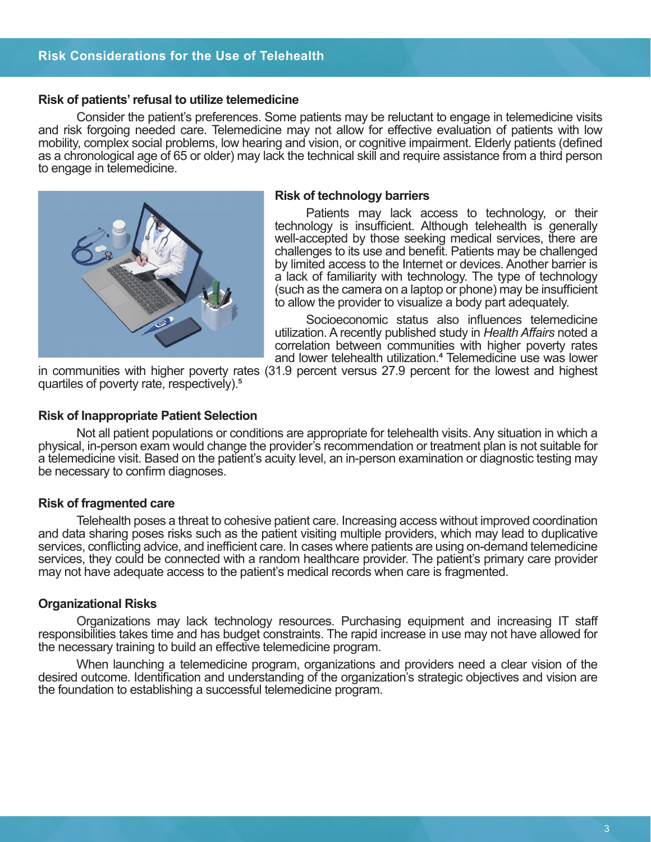## **Risk Considerations for the Use of Telehealth**

#### **Risk of patients' refusal to utilize telemedicine**

Consider the patient's preferences. Some patients may be reluctant to engage in telemedicine visits and risk forgoing needed care. Telemedicine may not allow for effective evaluation of patients with low mobility, complex social problems, low hearing and vision, or cognitive impairment. Elderly patients (defined as a chronological age of 65 or older) may lack the technical skill and require assistance from a third person to engage in telemedicine.



#### **Risk of technology barriers**

Patients may lack access to technology, or their technology is insufficient. Although telehealth is generally well-accepted by those seeking medical services, there are challenges to its use and benefit. Patients may be challenged by limited access to the Internet or devices. Another barrier is a lack of familiarity with technology. The type of technology (such as the camera on a laptop or phone) may be insufficient to allow the provider to visualize a body part adequately.

Socioeconomic status also influences telemedicine utilization. A recently published study in *Health Affairs* noted a correlation between communities with higher poverty rates and lower telehealth utilization.<sup>4</sup> Telemedicine use was lower

in communities with higher poverty rates (31.9 percent versus 27.9 percent for the lowest and highest quartiles of poverty rate, respectively).5

#### **Risk of Inappropriate Patient Selection**

Not all patient populations or conditions are appropriate for telehealth visits. Any situation in which a physical, in-person exam would change the provider's recommendation or treatment plan is not suitable for a telemedicine visit. Based on the patient's acuity level, an in-person examination or diagnostic testing may be necessary to confirm diagnoses.

### **Risk of fragmented care**

Telehealth poses a threat to cohesive patient care. Increasing access without improved coordination and data sharing poses risks such as the patient visiting multiple providers, which may lead to duplicative services, conflicting advice, and inefficient care. In cases where patients are using on-demand telemedicine services, they could be connected with a random healthcare provider. The patient's primary care provider may not have adequate access to the patient's medical records when care is fragmented.

### **Organizational Risks**

Organizations may lack technology resources. Purchasing equipment and increasing IT staff responsibilities takes time and has budget constraints. The rapid increase in use may not have allowed for the necessary training to build an effective telemedicine program.

When launching a telemedicine program, organizations and providers need a clear vision of the desired outcome. Identification and understanding of the organization's strategic objectives and vision are the foundation to establishing a successful telemedicine program.